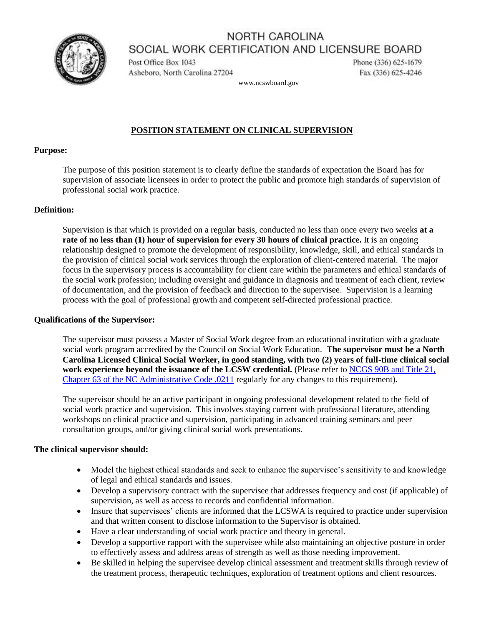## NORTH CAROLINA SOCIAL WORK CERTIFICATION AND LICENSURE BOARD



Post Office Box 1043 Asheboro, North Carolina 27204 Phone (336) 625-1679 Fax (336) 625-4246

www.ncswboard.gov

## **POSITION STATEMENT ON CLINICAL SUPERVISION**

#### **Purpose:**

The purpose of this position statement is to clearly define the standards of expectation the Board has for supervision of associate licensees in order to protect the public and promote high standards of supervision of professional social work practice.

## **Definition:**

Supervision is that which is provided on a regular basis, conducted no less than once every two weeks **at a rate of no less than (1) hour of supervision for every 30 hours of clinical practice.** It is an ongoing relationship designed to promote the development of responsibility, knowledge, skill, and ethical standards in the provision of clinical social work services through the exploration of client-centered material. The major focus in the supervisory process is accountability for client care within the parameters and ethical standards of the social work profession; including oversight and guidance in diagnosis and treatment of each client, review of documentation, and the provision of feedback and direction to the supervisee. Supervision is a learning process with the goal of professional growth and competent self-directed professional practice.

#### **Qualifications of the Supervisor:**

The supervisor must possess a Master of Social Work degree from an educational institution with a graduate social work program accredited by the Council on Social Work Education. **The supervisor must be a North Carolina Licensed Clinical Social Worker, in good standing, with two (2) years of full-time clinical social work experience beyond the issuance of the LCSW credential.** (Please refer to [NCGS 90B and Title 21,](https://ncswboard.gov/administrative-codes/)  [Chapter 63 of the NC Administrative Code](https://ncswboard.gov/administrative-codes/) .0211 regularly for any changes to this requirement).

The supervisor should be an active participant in ongoing professional development related to the field of social work practice and supervision. This involves staying current with professional literature, attending workshops on clinical practice and supervision, participating in advanced training seminars and peer consultation groups, and/or giving clinical social work presentations.

## **The clinical supervisor should:**

- Model the highest ethical standards and seek to enhance the supervisee's sensitivity to and knowledge of legal and ethical standards and issues.
- Develop a supervisory contract with the supervisee that addresses frequency and cost (if applicable) of supervision, as well as access to records and confidential information.
- Insure that supervisees' clients are informed that the LCSWA is required to practice under supervision and that written consent to disclose information to the Supervisor is obtained.
- Have a clear understanding of social work practice and theory in general.
- Develop a supportive rapport with the supervisee while also maintaining an objective posture in order to effectively assess and address areas of strength as well as those needing improvement.
- Be skilled in helping the supervisee develop clinical assessment and treatment skills through review of the treatment process, therapeutic techniques, exploration of treatment options and client resources.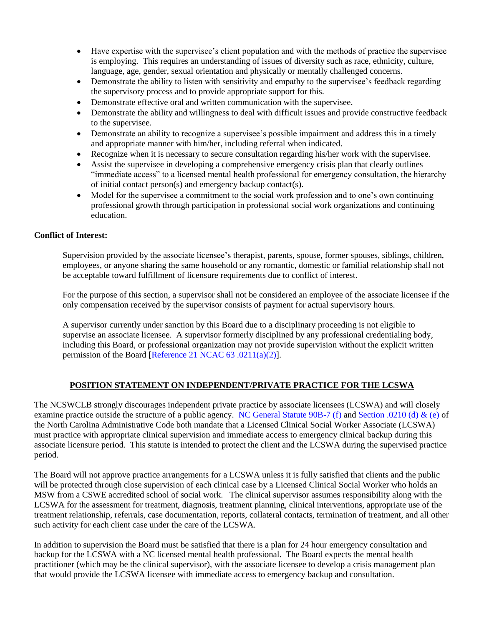- Have expertise with the supervisee's client population and with the methods of practice the supervisee is employing. This requires an understanding of issues of diversity such as race, ethnicity, culture, language, age, gender, sexual orientation and physically or mentally challenged concerns.
- Demonstrate the ability to listen with sensitivity and empathy to the supervisee's feedback regarding the supervisory process and to provide appropriate support for this.
- Demonstrate effective oral and written communication with the supervisee.
- Demonstrate the ability and willingness to deal with difficult issues and provide constructive feedback to the supervisee.
- Demonstrate an ability to recognize a supervisee's possible impairment and address this in a timely and appropriate manner with him/her, including referral when indicated.
- Recognize when it is necessary to secure consultation regarding his/her work with the supervisee.
- Assist the supervisee in developing a comprehensive emergency crisis plan that clearly outlines "immediate access" to a licensed mental health professional for emergency consultation, the hierarchy of initial contact person(s) and emergency backup contact(s).
- Model for the supervisee a commitment to the social work profession and to one's own continuing professional growth through participation in professional social work organizations and continuing education.

### **Conflict of Interest:**

Supervision provided by the associate licensee's therapist, parents, spouse, former spouses, siblings, children, employees, or anyone sharing the same household or any romantic, domestic or familial relationship shall not be acceptable toward fulfillment of licensure requirements due to conflict of interest.

For the purpose of this section, a supervisor shall not be considered an employee of the associate licensee if the only compensation received by the supervisor consists of payment for actual supervisory hours.

A supervisor currently under sanction by this Board due to a disciplinary proceeding is not eligible to supervise an associate licensee. A supervisor formerly disciplined by any professional credentialing body, including this Board, or professional organization may not provide supervision without the explicit written permission of the Board [\[Reference 21 NCAC 63 .0211\(a\)\(2\)\]](https://ncswboard.gov/administrative-codes/#.0211).

# **POSITION STATEMENT ON INDEPENDENT/PRIVATE PRACTICE FOR THE LCSWA**

The NCSWCLB strongly discourages independent private practice by associate licensees (LCSWA) and will closely examine practice outside the structure of a public agency. [NC General Statute 90B-7 \(f\)](https://ncswboard.gov/statute/) and [Section .0210](https://ncswboard.gov/administrative-codes/#.0210) (d) & (e) of the North Carolina Administrative Code both mandate that a Licensed Clinical Social Worker Associate (LCSWA) must practice with appropriate clinical supervision and immediate access to emergency clinical backup during this associate licensure period. This statute is intended to protect the client and the LCSWA during the supervised practice period.

The Board will not approve practice arrangements for a LCSWA unless it is fully satisfied that clients and the public will be protected through close supervision of each clinical case by a Licensed Clinical Social Worker who holds an MSW from a CSWE accredited school of social work. The clinical supervisor assumes responsibility along with the LCSWA for the assessment for treatment, diagnosis, treatment planning, clinical interventions, appropriate use of the treatment relationship, referrals, case documentation, reports, collateral contacts, termination of treatment, and all other such activity for each client case under the care of the LCSWA.

In addition to supervision the Board must be satisfied that there is a plan for 24 hour emergency consultation and backup for the LCSWA with a NC licensed mental health professional. The Board expects the mental health practitioner (which may be the clinical supervisor), with the associate licensee to develop a crisis management plan that would provide the LCSWA licensee with immediate access to emergency backup and consultation.